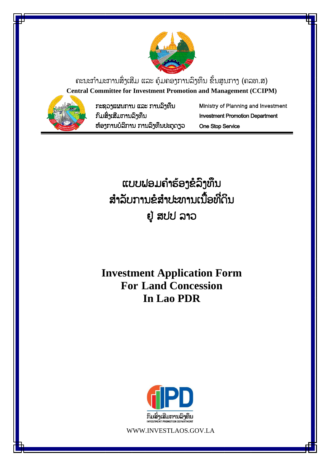

ຄະນະກຳມະການສິ່ງເສີມ ແລະ ຄຸ້ມຄອງການລິງທຶນ ຂັ້ນສູນກາງ (ຄລທ.ສ) **Central Committee for Investment Promotion and Management (CCIPM)**



ກະຊວງແຜນກຳນ ແລະ ກຳນລົງທຶນ ກົມສົົ່ງເສີມກຳນລົງທຶນ ຫຸ້ອງກຳນບໍລິກຳນ ກຳນລົງທຶນປະຕູດຽວ Ministry of Planning and Investment Investment Promotion Department One Stop Service

ແບບຟອມຄຳຮ້ອງຂໍລິງທຶນ ສຳລັບການຂໍສຳປະທານເນື້ອທີ່ດິນ ຢູູ່ ສປປ ລຳວ

**Investment Application Form For Land Concession In Lao PDR**



WWW.INVESTLAOS.GOV.LA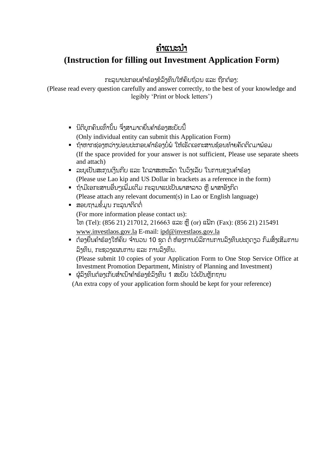## ຄຳແນະນຳ

### **(Instruction for filling out Investment Application Form)**

ກະລຸນາປະກອບຄຳຮ້ອງຂໍລິງທຶນໃຫ້ຄົບຖ້ວນ ແລະ ຖືກຕ້ອງ:

(Please read every question carefully and answer correctly, to the best of your knowledge and legibly 'Print or block letters')

- ນິຕິບກຄົນເທົ່ານັ້ນ ຈຶ່າສາມາດຍື່ນຄຳຮ້ອງສະບັບນີ້ (Only individual entity can submit this Application Form)
- ຖ້າຫາກຊ່ອງຫວ່າງບ່ອນປະກອບຄຳຮ້ອງບໍ່ພໍ ໃຫ້ເຮັດເອກະສານຊ້ອນທ້າຍຄັດຕິດມາພ້ອມ (If the space provided for your answer is not sufficient, Please use separate sheets and attach)
- ລະບຸເປັນສະກຸນເງິນກີບ ແລະ ໂດລາສະຫະລັດ ໃນວົງເລັບ ໃນການຂຽນຄຳຮ້ອງ (Please use Lao kip and US Dollar in brackets as a reference in the form)
- ຖ້າມີເອກະສານອື່ນໆເພີ່ມເຕີມ ກະລຸນາແປເປັນພາສາລາວ ຫື ພາສາອັງກິດ (Please attach any relevant document(s) in Lao or English language)
- ສອບຖາມຂໍ້ມູນ ກະລນາຕິດຕໍ່ (For more information please contact us): ໂທ (Tel): (856 21) 217012, 216663 ແລະ ຫຼື (or) ແຟັກ (Fax): (856 21) 215491 [www.investlaos.gov.la](http://www.investlaos.gov.la/) E-mail: [ipd@investlaos.gov.la](mailto:ipd@investlaos.gov.la)
- ຕ້ອງຍື່ນຄຳຮ້ອງໃຫ້ຄົບ ຈຳນວນ 10 ຊຸດ ຕໍ່ ຫ້ອງການບໍລິການການລົງທຶນປະຕູດຽວ ກົມສິ່ງເສີມການ ລົງທຶນ, ກະຊວງແຜນກຳນ ແລະ ກຳນລົງທຶນ.

(Please submit 10 copies of your Application Form to One Stop Service Office at Investment Promotion Department, Ministry of Planning and Investment)

▪ ຜູ້ລິງທຶນຕ້ອງເກັບສຳເນົາຄຳຮ້ອງຂໍລິງທຶນ 1 ສະບັບ ໄວ້ເປັນຫຼັກຖານ

(An extra copy of your application form should be kept for your reference)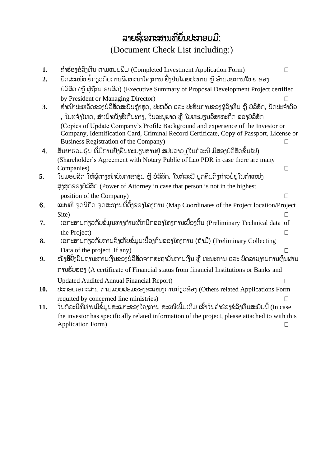# <u>ລາຍຊື່ເອກະສານທີ່ຍຶ່ນປະກອບມີ:</u>

(Document Check List including:)

| 1.               | ຄຳຮ້ອງຂໍ້ລິງທຶນ ຕາມແບບພິມ (Completed Investment Application Form)                              | П       |
|------------------|------------------------------------------------------------------------------------------------|---------|
| 2.               | ບົດສະເໜີຫຍໍ້ກ່ຽວກັບການພັດທະນາໂຄງການ ຢັ້ງຢືນໂດຍປະທານ ຫຼື ອຳນວຍການໃຫຍ່ ຂອງ                       |         |
|                  |                                                                                                |         |
|                  | ບໍລິສັດ (ຫຼື ຜູ້ຖືກມອບສິດ) (Executive Summary of Proposal Development Project certified        |         |
|                  | by President or Managing Director)                                                             |         |
| 3.               | ສຳເນົາປະຫວັດຂອງບໍລິສັດສະບັບຫຼ້າສຸດ, ປະຫວັດ ແລະ ປະສິບການຂອງຜູ້ລິງທຶນ ຫຼື ບໍລິສັດ, ບັດປະຈຳຕົວ    |         |
|                  | , ໃບແຈ້ງໂທດ, ສຳເນົາໜັງສືເດີນທາງ, ໃບອະນຸຍາດ ຫຼື ໃບທະບຽນວິສາຫະກິດ ຂອງບໍລິສັດ                     |         |
|                  | (Copies of Update Company's Profile Background and experience of the Investor or               |         |
|                  | Company, Identification Card, Criminal Record Certificate, Copy of Passport, License or        |         |
|                  | <b>Business Registration of the Company)</b>                                                   |         |
| $\boldsymbol{4}$ | ສັນຍາຮ່ວມຮຸ້ນ ທີ່ມີການຢັ້ງຢືນທະບຽນສານຢູ່ ສປປລາວ_(ໃນກໍລະນີ ມີສອງບໍລິສັດຂື້ນໄປ)                  |         |
|                  | (Shareholder's Agreement with Notary Public of Lao PDR in case there are many                  |         |
|                  | Companies)                                                                                     | $\perp$ |
| 5.               | ໃບມອບສິດ ໃຫ້ຜູ້ຕາງໜ້າບັນດາຂາຮຸ້ນ ຫຼື ບໍລິສັດ. ໃນກໍລະນີ ບຸກຄົນດັ່ງກ່າວບໍ່ຢູ່ໃນຕຳແໜ່ງ            |         |
|                  | ສູງສຸດຂອງບໍລິສັດ (Power of Attorney in case that person is not in the highest                  |         |
|                  | position of the Company)                                                                       |         |
| 6.               | ແຜນທີ່ ຈຸດພິກັດ ຈຸດສະຖານທີ່ຕັ້ງຂອງໂຄງການ (Map Coordinates of the Project location/Project      |         |
|                  | Site)                                                                                          | П       |
| 7.               | ເອກະສານກ່ຽວກັບຂໍ້ມູນທາງດ້ານເຕັກນິກຂອງໂຄງການເບື້ອງຕົ້ນ (Preliminary Technical data of           |         |
|                  | the Project)                                                                                   | Π       |
| 8.               | ເອກະສານກ່ຽວກັບການລິງເກັບຂໍ້ມູນເບື້ອງຕົ້ນຂອງໂຄງການ (ຖ້າມີ) (Preliminary Collecting              |         |
|                  | Data of the project. If any)                                                                   |         |
| 9.               | ໜັງສືຢັ້ງຢືນຖານະການເງິນຂອງບໍລິສັດຈາກສະຖາບັນການເງິນ ຫຼື ທະນະຄານ ແລະ ບິດລາຍງານການເງິນຜ່ານ        |         |
|                  | ການຮັບຮອງ (A certificate of Financial status from financial Institutions or Banks and          |         |
|                  |                                                                                                |         |
|                  | <b>Updated Audited Annual Financial Report)</b>                                                |         |
| 10.              | ປະກອບເອກະສານ ຕາມແບບຟອມຂອງຂະແໜງການກ່ຽວຂ້ອງ (Others related Applications Form                    |         |
|                  | requited by concerned line ministries)                                                         |         |
| 11.              | ໃນກໍລະນີທີ່ທ່ານມີຂໍ້ມູນສະເພາະຂອງໂຄງການ ສະເໜີເພີ້ມເຕີມ ເຂົ້າໃນຄຳຣ້ອງຂໍລິງທຶນສະບັບນີ້ (In case   |         |
|                  | the investor has specifically related information of the project, please attached to with this |         |
|                  | <b>Application Form)</b>                                                                       |         |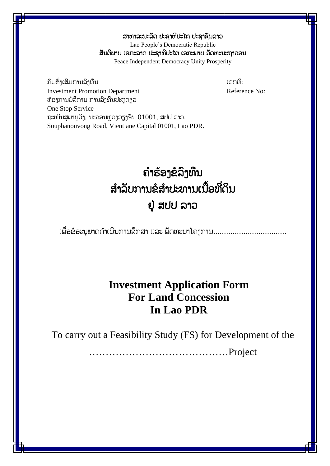ສາທາລະນະລັດ ປະຊາທິປະໄຕ ປະຊາຊິນລາວ Lao People's Democratic Republic ສັນຕິພາບ ເອກະລາດ ປະຊາທິປະໄຕ ເອກະພາບ ວັດທະນະຖາວອນ Peace Independent Democracy Unity Prosperity

ກົມສົ່າເສີມການລົາທຶນ ເລກທີ: ເລກທີ: ເລກທີ: **Investment Promotion Department** Reference No: ຫຸ້ອງກຳນບໍລິກຳນ ກຳນລົງທຶນປະຕູດຽວ One Stop Service ຖະໜົນສຸພານຸວິງ, ນະຄອນຫຼວງວຽງຈັນ 01001, ສປປ ລາວ. Souphanouvong Road, Vientiane Capital 01001, Lao PDR.

# ຄ ຳຮຸ້ອງຂໍລົງທຶນ ສຳລັບການຂໍສຳປະທານເນື້ອທີ່ດິນ ຢູູ່ ສປປ ລຳວ

ເພື່ອຂໍອະນຸຍາດດຳເນີນການສຶກສາ ແລະ ພັດທະນາໂຄງການ..................................

## **Investment Application Form For Land Concession In Lao PDR**

To carry out a Feasibility Study (FS) for Development of the

……………………………………Project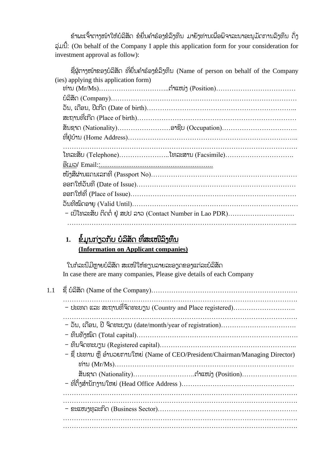່ ຂ້າພະເຈົ້າຕາງໜ້າໃຫ້ບໍລິສັດ ຂໍຍື່ນຄຳຮ້ອງຂໍລິງທຶນ ມາຍັງທ່ານເພື່ອພິຈາລະນາອະນຸມັດການລິງທຶນ ດັ່ງ ລ ່ມນີັ້: (On behalf of the Company I apple this application form for your consideration for investment approval as follow):

ຊື່ຜ່ຕາງໜ້າຂອງບໍລິສັດ ທີ່ຍື່ນຄຳຮ້ອງຂໍລິງທຶນ (Name of person on behalf of the Company (ies) applying this application form) ທ່ຳນ (Mr/Ms)…………………………..ຕ ຳແໜ່ງ (Position)……………………………… ບໍລິສ ດ (Company)………………………………………………………………………… ວ ນ, ເດ ອນ, ປີເກີດ (Date of birth)………………………………………………………….. ສະຖຳນທີ ເກີດ (Place of birth)……………………………………………………………… ສ ນຊຳດ (Nationality)……………………ອຳຊີບ (Occupation)……………………………. ທີ ຢູູ່ບຸ້ຳນ (Home Address)………………………………………………………………….. ……………………………………………………………………………………………. ໂທລະສ ບ (Telephone)…………………..ໂທລະສຳນ (Facsimile)…………………………. ອີເມວ/ Email::............................................................. ໜັງສືຜ່ານແດນເລກທີ່ (Passport No)…………………………………………………………… ອອກໃຫຸ້ວ ນທີ (Date of Issue)……………………………………………………………… ອອກໃຫຸ້ທີ (Place of Issue)………………………………………………………………… ວັນທີໝົດອາຍ (Valid Until)……………………………………………………………………  $-$  ເບີໂທລະສັບ ຕິດຕໍ່ ຢູ່ ສປປ ລາວ (Contact Number in Lao PDR)…………………………… …………………………………………………………………………………………..

### 1. ຂໍ້ມູນກ່ຽວກັບ ບໍລິສັດ ທີ່ສະເໜີລິງທຶນ **(Information on Applicant companies)**

ໃນກໍລະນີມີຫາຍບໍລິສັດ ສະເໜີໃຫ້ຂຽນລາຍລະອຽດຂອງແຕ່ລະບໍລິສັດ In case there are many companies, Please give details of each Company

| 1.1 |                                                                                 |
|-----|---------------------------------------------------------------------------------|
|     | - ປະເທດ ແລະ ສະຖານທີ່ຈິດທະບຽນ (Country and Place registered)                     |
|     |                                                                                 |
|     | - ຊື່ ປະທານ ຫຼື ອຳນວຍການໃຫຍ່ (Name of CEO/President/Chairman/Managing Director) |
|     |                                                                                 |
|     |                                                                                 |
|     |                                                                                 |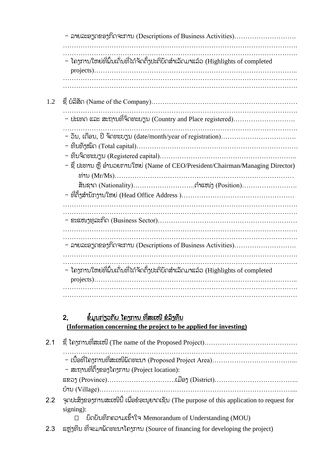- ລຳຍລະອຽດຂອງກິດຈະກຳນ (Descriptions of Business Activities)………………………. ……………………………………………………………………………………………. ……………………………………………………………………………………………. – ໂຄງການໃຫຍ່ທີ່ຝົ່ນເດັ່ນທີ່ໄດ້ຈັດຕັ້ງປະຕິບັດສຳເລັດມາແລ້ວ (Highlights of completed projects)……………………………………………………………………………….. ……………………………………………………………………………………………. ……………………………………………………………………………………………. 1.2 ຊ ບໍລິສ ດ (Name of the Company)………………………………………………………… …………………………………………………………………………………………….  $-$  ປະເທດ ແລະ ສະຖານທີ່ຈິດທະບຽນ (Country and Place registered)………………………… ……………………………………………………………………………………………. - ວ ນ, ເດ ອນ, ປີ ຈົດທະບຽນ (date/month/year of registration)……………………………. - ທຶນທ ງໝົດ (Total capital)………………………………………………………………. - ທຶນຈົດທະບຽນ (Registered capital)…………………………………………………….. – ຊື່ ປະທານ ຫຼື ອຳນວຍການໃຫຍ່ (Name of CEO/President/Chairman/Managing Director) ທ່ຳນ (Mr/Ms)……………………………………………………………………… ສ ນຊຳດ (Nationality)……………………….ຕ ຳແໜ່ງ (Position)……………………. – ທີ່ຕັ້ງສຳນັກາານໃຫຍ່ (Head Office Address )…………………………………………… ……………………………………………………………………………………………. ……………………………………………………………………………………………. - ຂະແໜງທລະກິດ (Business Sector)………………………………………………………… ……………………………………………………………………………………………. ……………………………………………………………………………………………. - ລຳຍລະອຽດຂອງກິດຈະກຳນ (Descriptions of Business Activities)………………………. …………………………………………………………………………………………….  $\mathcal{L}^{(n)}$  $-$  ໂຄງການໃຫຍ່ທີ່ພົ້ນເດັ່ນທີ່ໄດ້ຈັດຕັ້ງປະຕິບັດສຳເລັດມາແລ້ວ (Highlights of completed projects)……………………………………………………………………………….. ……………………………………………………………………………………………. ……………………………………………………………………………………….……

### 2, ຂໍ້ມູນກ່ຽວກັບ ໂຄງການ ທີ່ສະເໜີ ຂໍລິງທຶນ **(Information concerning the project to be applied for investing)**

| – ສະຖານທີ່ຕັ້ງຂອງໂຄງການ (Project location):                                                                                                                                                                                                                               |  |
|---------------------------------------------------------------------------------------------------------------------------------------------------------------------------------------------------------------------------------------------------------------------------|--|
|                                                                                                                                                                                                                                                                           |  |
| ົາດປະສິງຂອງການສະເໜີນີ້ ເພື່ອຂໍອະນຸຍາດເຊັນ (The purpose of this application to request for<br>2.2<br>$signing)$ :                                                                                                                                                          |  |
| บิดบับทึกลอามเ2้าใจ Memorandum of Understanding (MOU)<br>$\Box$<br>$\overline{a}a$ $\cdots$ $\overline{a}$ $\overline{a}$ $\cdots$ $\overline{a}$ $\cdots$ $\overline{a}$ $\cdots$ $\overline{a}$ $\cdots$ $\overline{a}$ $\cdots$ $\overline{a}$ $\cdots$ $\overline{a}$ |  |

2.3  $\alpha$  ແຫຼ່ງທຶນ ທີ່ຈະມາພັດທະນາໂຄງການ (Source of financing for developing the project)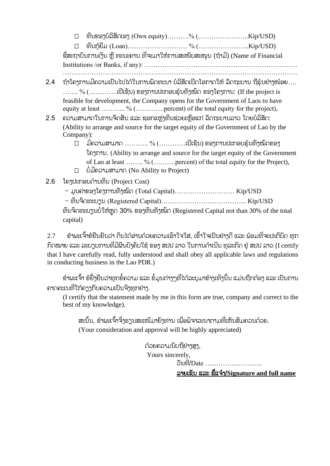ທຶນຂອງບໍລິສ ດເອງ (Own equity)……….% (…………………..Kip/USD)

 ທຶນກູຸ້ຍ ມ (Loan)……………………… % (…………………..Kip/USD) ຊື່ສະຖາບັນການເງິນ ຫື ທະນະຄານ ທີ່ຈະມາໃຫ້ການສະໜັບສະໜຸນ (ຖ້າມີ) (Name of Financial Institutions /or Banks, if any): ……………………………………………………………

…………………………………………………………………………………………….

- 2.4 ຖ້າໂຄງການມີຄວາມເປັນໄປໄດ້ໃນການພັດທະນາ ບໍລິສັດເປີດໂອກາດໃຫ້ ລັດຖະບານ ຖືຮ້ນຢ່າງໜ້ອຍ….  $\ldots$ ...... %  $(\ldots, \ldots, \ldots, \mathfrak{U}$ ເຊັນ) ຂອງການປະກອບຮຸ້ນທັງໝົດ ຂອງໂຄງການ: (If the project is feasible for development, the Company opens for the Government of Laos to have equity at least ……….. % (…………..percent) of the total equity for the project),
- 2.5 ຄວາມສາມາດໃນການຈັດສັນ ແລະ ຊອກແຫ່າທຶນຊ່ວຍເຫືອແກ່ ລັດຖະບານລາວ ໂດຍບໍລິສັດ: (Ability to arrange and source for the target equity of the Government of Lao by the Company):
	- ມີຄວຳມສຳມຳດ ……….. % (…………ເປີເຊ ນ) ຂອງກຳນປະກອບຮ ຸ້ນທ ງໝົດຂອງ ໂຄງກຳນ. (Ability to arrange and source for the target equity of the Government of Lao at least …….. % (……….percent) of the total equity for the Project), ບໍໍ່ມີຄວຳມສຳມຳດ (No Ability to Project)
- 2.6 ໂຄງປະກອບດຸ້ຳນທຶນ (Project Cost)
	- $-$  ມນຄ່າຂອງໂຄງການທັງໝົດ (Total Capital)……………………… Kip/USD
	- ທຶນຈົດທະບຽນ (Registered Capital)………………………………... Kip/USD

ທຶນຈິດທະບຽນບໍ່ໃຫ້ຫຼຸດ 30% ຂອງທຶນທັງໝົດ (Registered Capital not than 30% of the total capital)

 $2.7\,$  ຂຳພະເຈົ້າຂໍຢືນຢັນວ່າ ຕົນໄດ້ອ່ານດ້ວຍຄວາມເອົາໃຈໃສ່, ເຂົ້າໃຈເປັນຢ່າງດີ ແລະ ພ້ອມທີ່ຈະປະຕິບັດ ທຸກ ກົດໝາຍ ແລະ ລະບຽບການທີ່ມີຜິນບ້າຄັບໃຊ້ ຂອງ ສປປ ລາວ ໃນການດຳເນີນ ທລະກິດ ຢ່ ສປປ ລາວ (I certify that I have carefully read, fully understood and shall obey all applicable laws and regulations in conducting business in the Lao PDR.)

ຂ້າພະເຈົ້າ ຂໍຢ້ຳຢືນວ່າທຸກຂໍ້ຄວາມ ແລະ ຂໍ້ມູນຕ່າງໆທີ່ໄດ້ລະບມາຂ້າງເທິງນັ້ນ ແມ່ນຖືກຕ້ອງ ແລະ ເປັນການ ຄາດຄະເນທີ່ໃກ້ຄຽງກັບຄວາມເປັນຈິງທຸກຢ່າງ.

(I certify that the statement made by me in this form are true, company and correct to the best of my knowledge).

ສະນັ້ນ, ຂ້າພະເຈົ້າຈຶ່າຮຽນສະເໜີມາຍ້າທ່ານ ເພື່ອພິຈາລະນາຕາມທີ່ເຫັນສຶມຄວນດ້ວຍ. (Your consideration and approval will be highly appreciated)

> ດ້ວຍຄວາມນັບຖືຢ່າງສູງ, Yours sincerely,

ວ ນທີ/Date ……………………..

ລຳຍເຊ ນ ແລະ ຊ ແຈຸ້ງ/**Signature and full name**